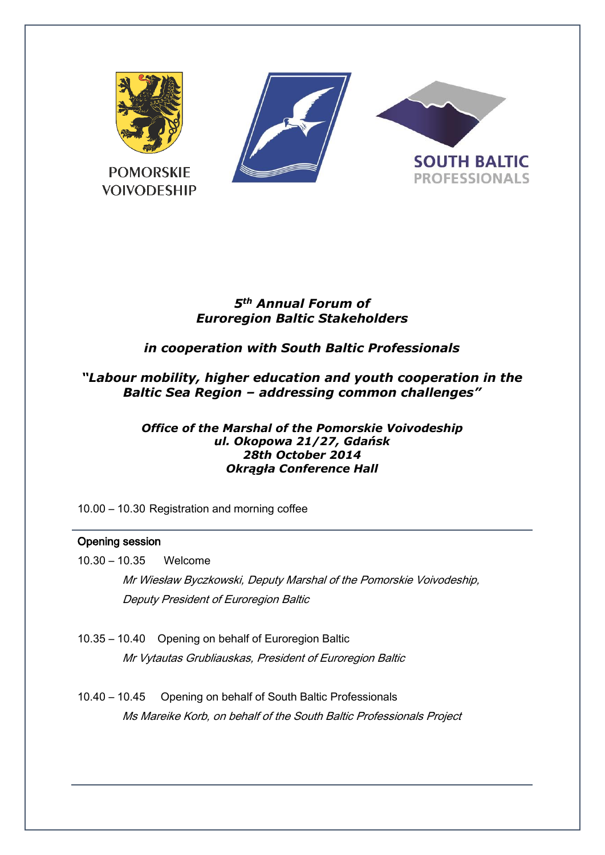

# *5th Annual Forum of Euroregion Baltic Stakeholders*

# *in cooperation with South Baltic Professionals*

# *"Labour mobility, higher education and youth cooperation in the Baltic Sea Region – addressing common challenges"*

#### *Office of the Marshal of the Pomorskie Voivodeship ul. Okopowa 21/27, Gdańsk 28th October 2014 Okrągła Conference Hall*

10.00 – 10.30 Registration and morning coffee

### Opening session

- 10.30 10.35 Welcome Mr Wiesław Byczkowski, Deputy Marshal of the Pomorskie Voivodeship, Deputy President of Euroregion Baltic
- 10.35 10.40 Opening on behalf of Euroregion Baltic Mr Vytautas Grubliauskas, President of Euroregion Baltic
- 10.40 10.45 Opening on behalf of South Baltic Professionals Ms Mareike Korb, on behalf of the South Baltic Professionals Project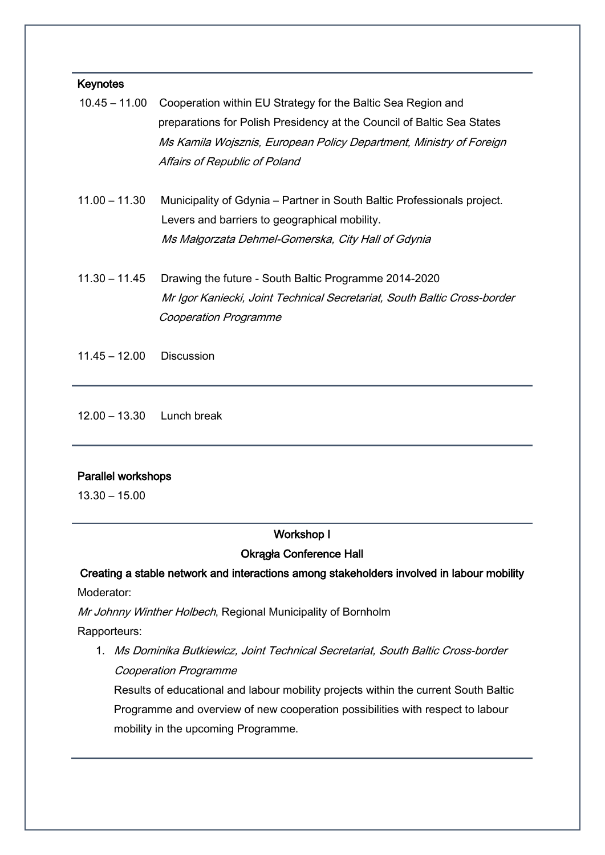#### Keynotes

|  | 10.45 – 11.00 Cooperation within EU Strategy for the Baltic Sea Region and |
|--|----------------------------------------------------------------------------|
|  | preparations for Polish Presidency at the Council of Baltic Sea States     |
|  | Ms Kamila Wojsznis, European Policy Department, Ministry of Foreign        |
|  | Affairs of Republic of Poland                                              |

- 11.00 11.30 Municipality of Gdynia Partner in South Baltic Professionals project. Levers and barriers to geographical mobility. Ms Małgorzata Dehmel-Gomerska, City Hall of Gdynia
- 11.30 11.45 Drawing the future South Baltic Programme 2014-2020 Mr Igor Kaniecki, Joint Technical Secretariat, South Baltic Cross-border Cooperation Programme
- 11.45 12.00 Discussion

12.00 – 13.30 Lunch break

#### Parallel workshops

13.30 – 15.00

# Workshop I

#### Okrągła Conference Hall

# Creating a stable network and interactions among stakeholders involved in labour mobility Moderator:

Mr Johnny Winther Holbech, Regional Municipality of Bornholm

Rapporteurs:

1. Ms Dominika Butkiewicz, Joint Technical Secretariat, South Baltic Cross-border Cooperation Programme

Results of educational and labour mobility projects within the current South Baltic Programme and overview of new cooperation possibilities with respect to labour mobility in the upcoming Programme.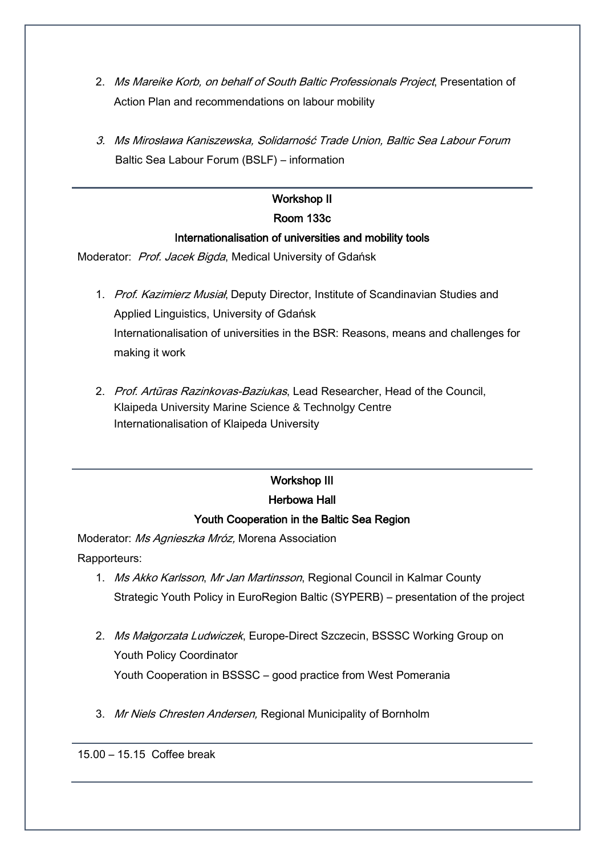- 2. Ms Mareike Korb, on behalf of South Baltic Professionals Project, Presentation of Action Plan and recommendations on labour mobility
- 3. Ms Mirosława Kaniszewska, Solidarność Trade Union, Baltic Sea Labour Forum Baltic Sea Labour Forum (BSLF) – information

### Workshop II

### Room 133c

### Internationalisation of universities and mobility tools

Moderator: Prof. Jacek Bigda, Medical University of Gdańsk

- 1. Prof. Kazimierz Musiał, Deputy Director, Institute of Scandinavian Studies and Applied Linguistics, University of Gdańsk Internationalisation of universities in the BSR: Reasons, means and challenges for making it work
- 2. Prof. Artūras Razinkovas-Baziukas, Lead Researcher, Head of the Council, Klaipeda University Marine Science & Technolgy Centre Internationalisation of Klaipeda University

# Workshop III

## Herbowa Hall

# Youth Cooperation in the Baltic Sea Region

Moderator: Ms Agnieszka Mróz, Morena Association Rapporteurs:

- 1. Ms Akko Karlsson, Mr Jan Martinsson, Regional Council in Kalmar County Strategic Youth Policy in EuroRegion Baltic (SYPERB) – presentation of the project
- 2. Ms Małgorzata Ludwiczek, Europe-Direct Szczecin, BSSSC Working Group on Youth Policy Coordinator Youth Cooperation in BSSSC – good practice from West Pomerania
- 3. Mr Niels Chresten Andersen, Regional Municipality of Bornholm

15.00 – 15.15 Coffee break